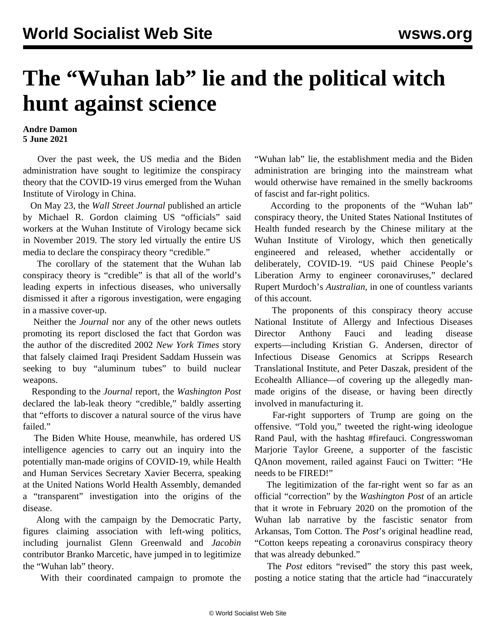## **The "Wuhan lab" lie and the political witch hunt against science**

## **Andre Damon 5 June 2021**

 Over the past week, the US media and the Biden administration have sought to legitimize the conspiracy theory that the COVID-19 virus emerged from the Wuhan Institute of Virology in China.

 On May 23, the *Wall Street Journal* published an article by Michael R. Gordon claiming US "officials" said workers at the Wuhan Institute of Virology became sick in November 2019. The story led virtually the entire US media to declare the conspiracy theory "credible."

 The corollary of the statement that the Wuhan lab conspiracy theory is "credible" is that all of the world's leading experts in infectious diseases, who universally dismissed it after a rigorous investigation, were engaging in a massive cover-up.

 Neither the *Journal* nor any of the other news outlets promoting its report disclosed the fact that Gordon was the author of the discredited 2002 *New York Times* story that falsely claimed Iraqi President Saddam Hussein was seeking to buy "aluminum tubes" to build nuclear weapons.

 Responding to the *Journal* report, the *Washington Post* declared the lab-leak theory "credible," baldly asserting that "efforts to discover a natural source of the virus have failed."

 The Biden White House, meanwhile, has ordered US intelligence agencies to carry out an inquiry into the potentially man-made origins of COVID-19, while Health and Human Services Secretary Xavier Becerra, speaking at the United Nations World Health Assembly, demanded a "transparent" investigation into the origins of the disease.

 Along with the campaign by the Democratic Party, figures claiming association with left-wing politics, including journalist Glenn Greenwald and *Jacobin* contributor Branko Marcetic, have jumped in to legitimize the "Wuhan lab" theory.

With their coordinated campaign to promote the

"Wuhan lab" lie, the establishment media and the Biden administration are bringing into the mainstream what would otherwise have remained in the smelly backrooms of fascist and far-right politics.

 According to the proponents of the "Wuhan lab" conspiracy theory, the United States National Institutes of Health funded research by the Chinese military at the Wuhan Institute of Virology, which then genetically engineered and released, whether accidentally or deliberately, COVID-19. "US paid Chinese People's Liberation Army to engineer coronaviruses," declared Rupert Murdoch's *Australian*, in one of countless variants of this account.

 The proponents of this conspiracy theory accuse National Institute of Allergy and Infectious Diseases Director Anthony Fauci and leading disease experts—including Kristian G. Andersen, director of Infectious Disease Genomics at Scripps Research Translational Institute, and Peter Daszak, president of the Ecohealth Alliance—of covering up the allegedly manmade origins of the disease, or having been directly involved in manufacturing it.

 Far-right supporters of Trump are going on the offensive. "Told you," tweeted the right-wing ideologue Rand Paul, with the hashtag #firefauci. Congresswoman Marjorie Taylor Greene, a supporter of the fascistic QAnon movement, railed against Fauci on Twitter: "He needs to be FIRED!"

 The legitimization of the far-right went so far as an official "correction" by the *Washington Post* of an article that it wrote in February 2020 on the promotion of the Wuhan lab narrative by the fascistic senator from Arkansas, Tom Cotton. The *Post*'s original headline read, "Cotton keeps repeating a coronavirus conspiracy theory that was already debunked."

 The *Post* editors "revised" the story this past week, posting a notice stating that the article had "inaccurately